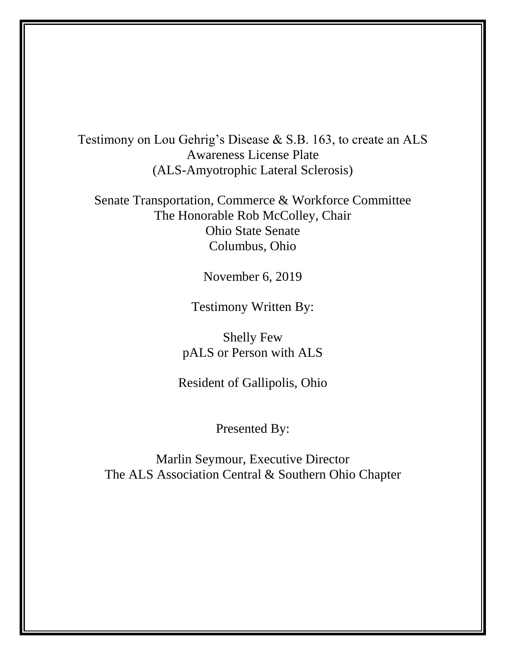Testimony on Lou Gehrig's Disease & S.B. 163, to create an ALS Awareness License Plate (ALS-Amyotrophic Lateral Sclerosis)

Senate Transportation, Commerce & Workforce Committee The Honorable Rob McColley, Chair Ohio State Senate Columbus, Ohio

November 6, 2019

Testimony Written By:

Shelly Few pALS or Person with ALS

Resident of Gallipolis, Ohio

Presented By:

Marlin Seymour, Executive Director The ALS Association Central & Southern Ohio Chapter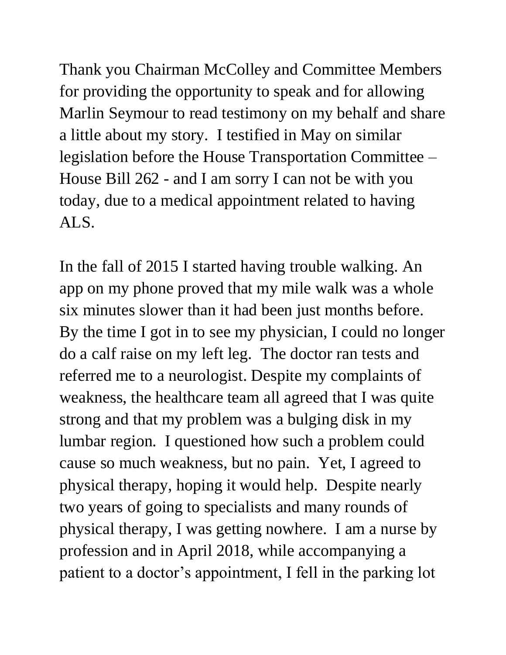Thank you Chairman McColley and Committee Members for providing the opportunity to speak and for allowing Marlin Seymour to read testimony on my behalf and share a little about my story. I testified in May on similar legislation before the House Transportation Committee – House Bill 262 - and I am sorry I can not be with you today, due to a medical appointment related to having ALS.

In the fall of 2015 I started having trouble walking. An app on my phone proved that my mile walk was a whole six minutes slower than it had been just months before. By the time I got in to see my physician, I could no longer do a calf raise on my left leg. The doctor ran tests and referred me to a neurologist. Despite my complaints of weakness, the healthcare team all agreed that I was quite strong and that my problem was a bulging disk in my lumbar region. I questioned how such a problem could cause so much weakness, but no pain. Yet, I agreed to physical therapy, hoping it would help. Despite nearly two years of going to specialists and many rounds of physical therapy, I was getting nowhere. I am a nurse by profession and in April 2018, while accompanying a patient to a doctor's appointment, I fell in the parking lot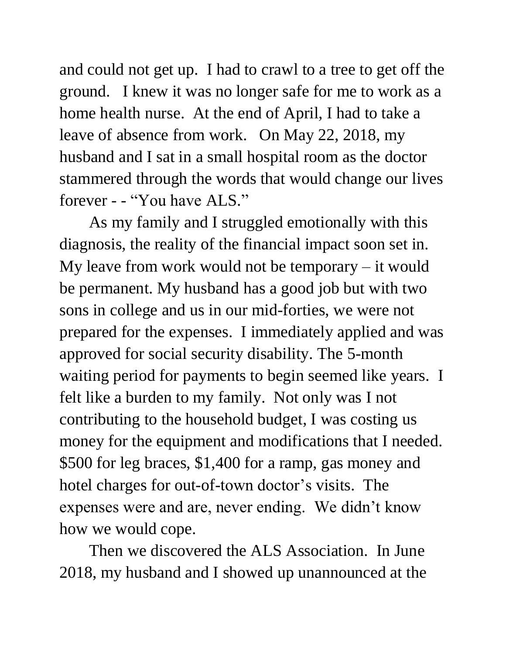and could not get up. I had to crawl to a tree to get off the ground. I knew it was no longer safe for me to work as a home health nurse. At the end of April, I had to take a leave of absence from work. On May 22, 2018, my husband and I sat in a small hospital room as the doctor stammered through the words that would change our lives forever - - "You have ALS."

As my family and I struggled emotionally with this diagnosis, the reality of the financial impact soon set in. My leave from work would not be temporary – it would be permanent. My husband has a good job but with two sons in college and us in our mid-forties, we were not prepared for the expenses. I immediately applied and was approved for social security disability. The 5-month waiting period for payments to begin seemed like years. I felt like a burden to my family. Not only was I not contributing to the household budget, I was costing us money for the equipment and modifications that I needed. \$500 for leg braces, \$1,400 for a ramp, gas money and hotel charges for out-of-town doctor's visits. The expenses were and are, never ending. We didn't know how we would cope.

Then we discovered the ALS Association. In June 2018, my husband and I showed up unannounced at the